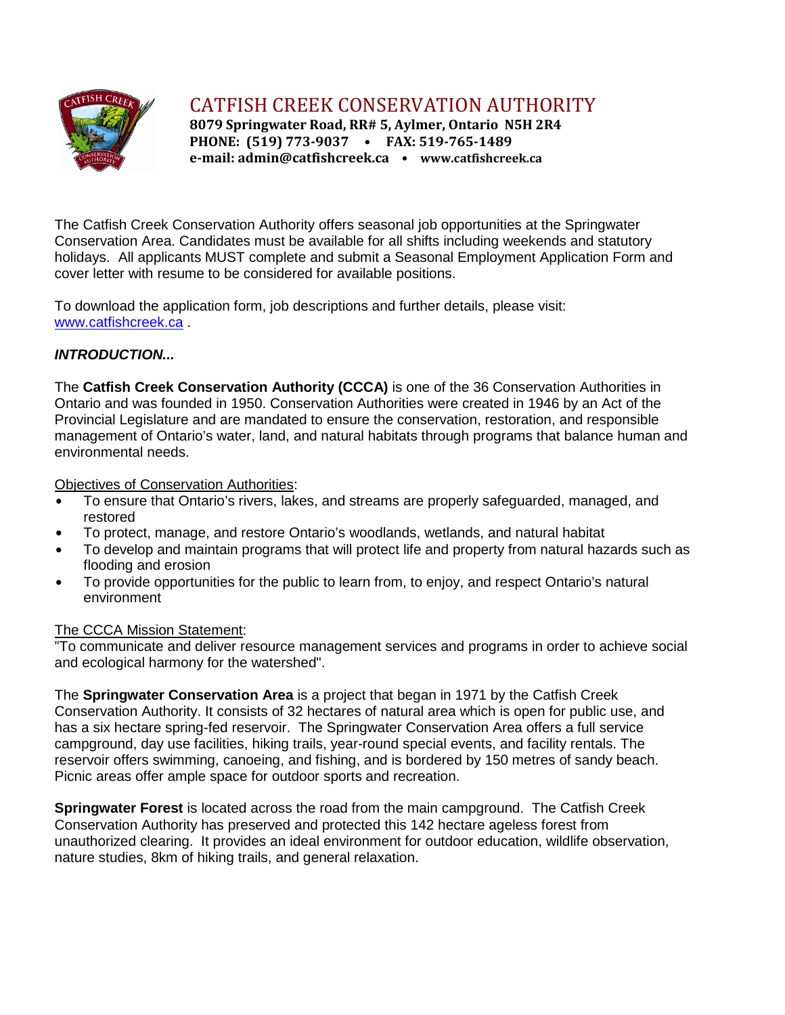

CATFISH CREEK CONSERVATION AUTHORITY

**8079 Springwater Road, RR# 5, Aylmer, Ontario N5H 2R4 PHONE: (519) 773-9037 • FAX: 519-765-1489 e-mail: admin@catfishcreek.ca • www.catfishcreek.ca**

The Catfish Creek Conservation Authority offers seasonal job opportunities at the Springwater Conservation Area. Candidates must be available for all shifts including weekends and statutory holidays. All applicants MUST complete and submit a Seasonal Employment Application Form and cover letter with resume to be considered for available positions.

To download the application form, job descriptions and further details, please visit: [www.catfishcreek.ca](http://) .

# *INTRODUCTION...*

The **Catfish Creek Conservation Authority (CCCA)** is one of the 36 Conservation Authorities in Ontario and was founded in 1950. Conservation Authorities were created in 1946 by an Act of the Provincial Legislature and are mandated to ensure the conservation, restoration, and responsible management of Ontario's water, land, and natural habitats through programs that balance human and environmental needs.

Objectives of Conservation Authorities:

- To ensure that Ontario's rivers, lakes, and streams are properly safeguarded, managed, and restored
- To protect, manage, and restore Ontario's woodlands, wetlands, and natural habitat
- To develop and maintain programs that will protect life and property from natural hazards such as flooding and erosion
- To provide opportunities for the public to learn from, to enjoy, and respect Ontario's natural environment

# The CCCA Mission Statement:

"To communicate and deliver resource management services and programs in order to achieve social and ecological harmony for the watershed".

The **Springwater Conservation Area** is a project that began in 1971 by the Catfish Creek Conservation Authority. It consists of 32 hectares of natural area which is open for public use, and has a six hectare spring-fed reservoir. The Springwater Conservation Area offers a full service campground, day use facilities, hiking trails, year-round special events, and facility rentals. The reservoir offers swimming, canoeing, and fishing, and is bordered by 150 metres of sandy beach. Picnic areas offer ample space for outdoor sports and recreation.

**Springwater Forest** is located across the road from the main campground. The Catfish Creek Conservation Authority has preserved and protected this 142 hectare ageless forest from unauthorized clearing. It provides an ideal environment for outdoor education, wildlife observation, nature studies, 8km of hiking trails, and general relaxation.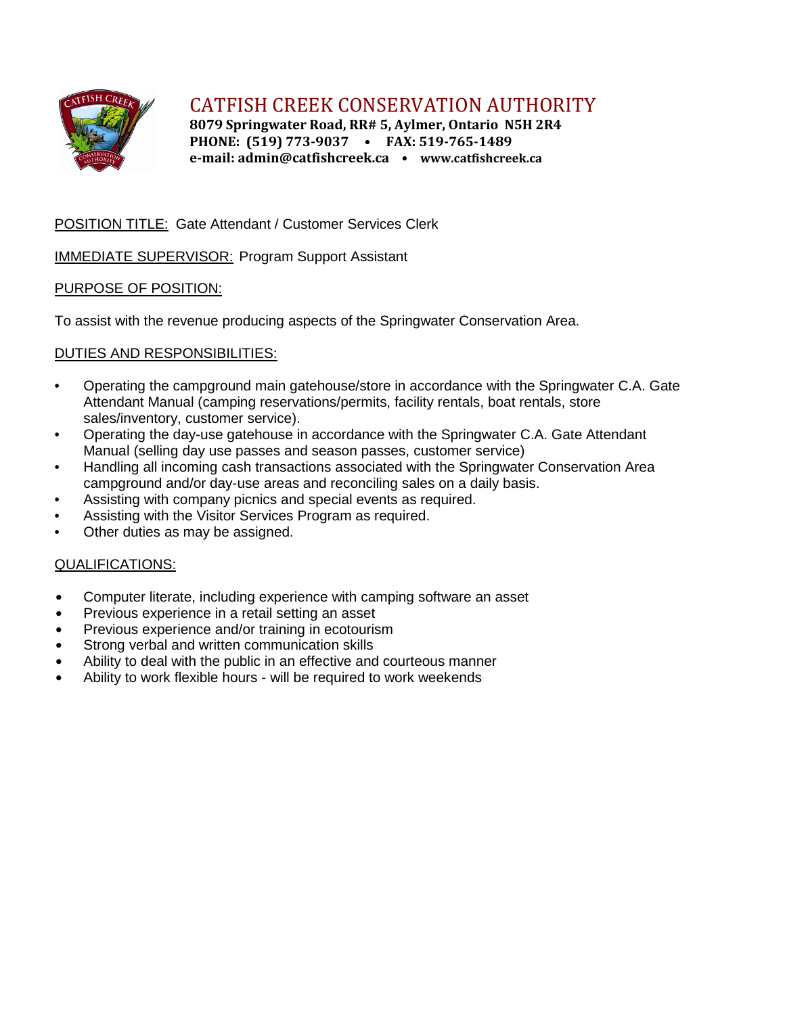

CATFISH CREEK CONSERVATION AUTHORITY

**8079 Springwater Road, RR# 5, Aylmer, Ontario N5H 2R4 PHONE: (519) 773-9037 • FAX: 519-765-1489 e-mail: admin@catfishcreek.ca • www.catfishcreek.ca**

# POSITION TITLE: Gate Attendant / Customer Services Clerk

## IMMEDIATE SUPERVISOR: Program Support Assistant

## PURPOSE OF POSITION:

To assist with the revenue producing aspects of the Springwater Conservation Area.

## DUTIES AND RESPONSIBILITIES:

- Operating the campground main gatehouse/store in accordance with the Springwater C.A. Gate Attendant Manual (camping reservations/permits, facility rentals, boat rentals, store sales/inventory, customer service).
- Operating the day-use gatehouse in accordance with the Springwater C.A. Gate Attendant Manual (selling day use passes and season passes, customer service)
- Handling all incoming cash transactions associated with the Springwater Conservation Area campground and/or day-use areas and reconciling sales on a daily basis.
- Assisting with company picnics and special events as required.
- Assisting with the Visitor Services Program as required.
- Other duties as may be assigned.

### QUALIFICATIONS:

- Computer literate, including experience with camping software an asset
- Previous experience in a retail setting an asset
- Previous experience and/or training in ecotourism
- Strong verbal and written communication skills
- Ability to deal with the public in an effective and courteous manner
- Ability to work flexible hours will be required to work weekends